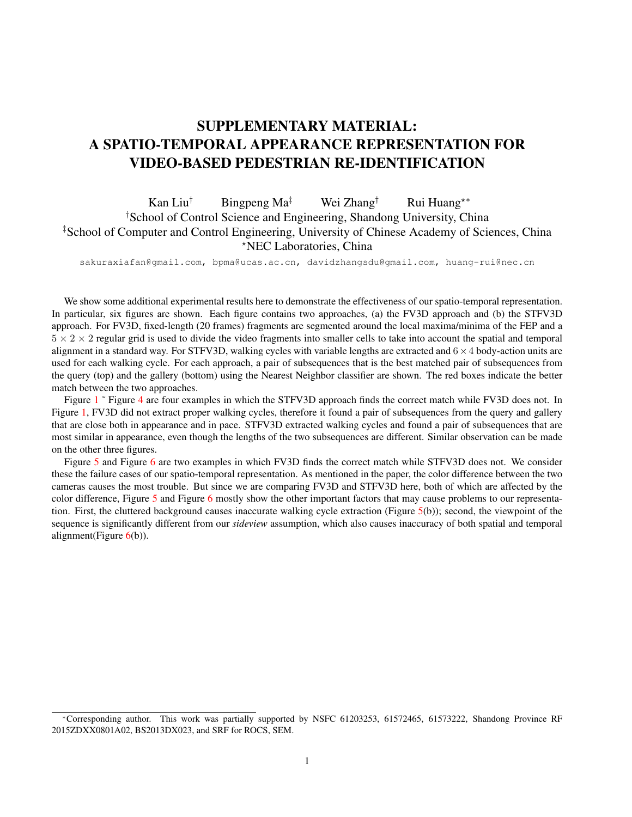## SUPPLEMENTARY MATERIAL: A SPATIO-TEMPORAL APPEARANCE REPRESENTATION FOR VIDEO-BASED PEDESTRIAN RE-IDENTIFICATION

## Kan Liu<sup>†</sup> Bingpeng Ma<sup>‡</sup> Wei Zhang<sup>†</sup> Rui Huang<sup>\*\*</sup> †School of Control Science and Engineering, Shandong University, China ‡School of Computer and Control Engineering, University of Chinese Academy of Sciences, China ?NEC Laboratories, China

sakuraxiafan@gmail.com, bpma@ucas.ac.cn, davidzhangsdu@gmail.com, huang-rui@nec.cn

We show some additional experimental results here to demonstrate the effectiveness of our spatio-temporal representation. In particular, six figures are shown. Each figure contains two approaches, (a) the FV3D approach and (b) the STFV3D approach. For FV3D, fixed-length (20 frames) fragments are segmented around the local maxima/minima of the FEP and a  $5 \times 2 \times 2$  regular grid is used to divide the video fragments into smaller cells to take into account the spatial and temporal alignment in a standard way. For STFV3D, walking cycles with variable lengths are extracted and  $6 \times 4$  body-action units are used for each walking cycle. For each approach, a pair of subsequences that is the best matched pair of subsequences from the query (top) and the gallery (bottom) using the Nearest Neighbor classifier are shown. The red boxes indicate the better match between the two approaches.

Figure [1](#page-1-0)<sup> $\degree$ </sup> Figure [4](#page-2-0) are four examples in which the STFV3D approach finds the correct match while FV3D does not. In Figure [1,](#page-1-0) FV3D did not extract proper walking cycles, therefore it found a pair of subsequences from the query and gallery that are close both in appearance and in pace. STFV3D extracted walking cycles and found a pair of subsequences that are most similar in appearance, even though the lengths of the two subsequences are different. Similar observation can be made on the other three figures.

Figure [5](#page-2-1) and Figure [6](#page-2-2) are two examples in which FV3D finds the correct match while STFV3D does not. We consider these the failure cases of our spatio-temporal representation. As mentioned in the paper, the color difference between the two cameras causes the most trouble. But since we are comparing FV3D and STFV3D here, both of which are affected by the color difference, Figure [5](#page-2-1) and Figure [6](#page-2-2) mostly show the other important factors that may cause problems to our representation. First, the cluttered background causes inaccurate walking cycle extraction (Figure [5\(](#page-2-1)b)); second, the viewpoint of the sequence is significantly different from our *sideview* assumption, which also causes inaccuracy of both spatial and temporal alignment(Figure  $6(b)$  $6(b)$ ).

<sup>∗</sup>Corresponding author. This work was partially supported by NSFC 61203253, 61572465, 61573222, Shandong Province RF 2015ZDXX0801A02, BS2013DX023, and SRF for ROCS, SEM.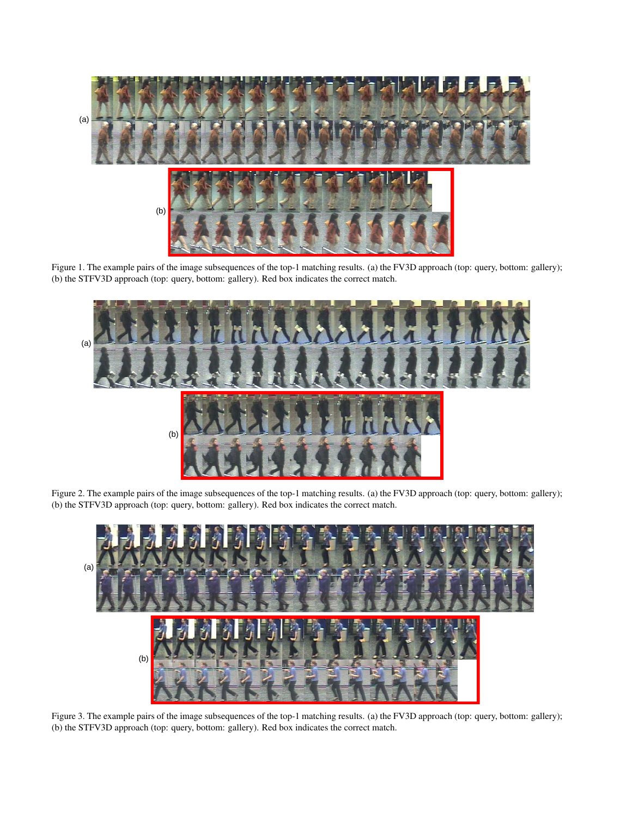

Figure 1. The example pairs of the image subsequences of the top-1 matching results. (a) the FV3D approach (top: query, bottom: gallery); (b) the STFV3D approach (top: query, bottom: gallery). Red box indicates the correct match.

<span id="page-1-0"></span>

Figure 2. The example pairs of the image subsequences of the top-1 matching results. (a) the FV3D approach (top: query, bottom: gallery); (b) the STFV3D approach (top: query, bottom: gallery). Red box indicates the correct match.



Figure 3. The example pairs of the image subsequences of the top-1 matching results. (a) the FV3D approach (top: query, bottom: gallery); (b) the STFV3D approach (top: query, bottom: gallery). Red box indicates the correct match.